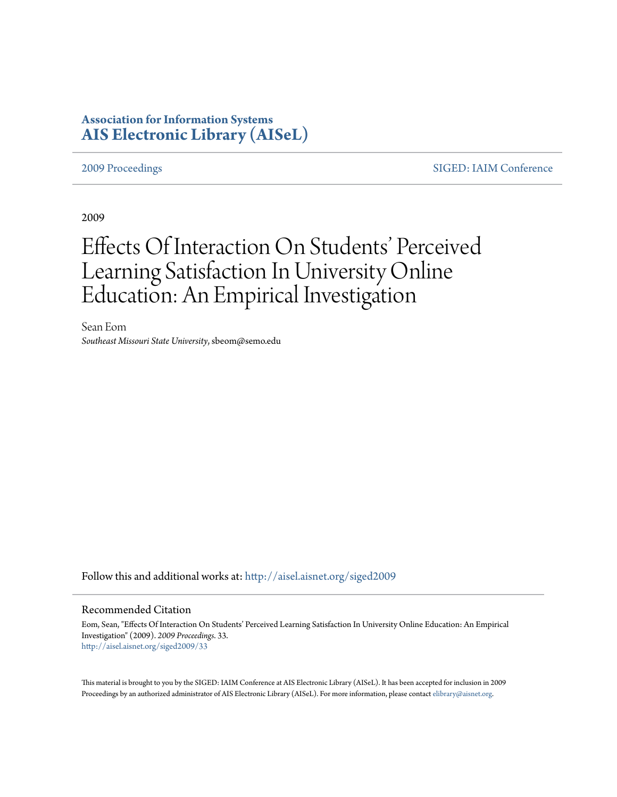# **Association for Information Systems [AIS Electronic Library \(AISeL\)](http://aisel.aisnet.org?utm_source=aisel.aisnet.org%2Fsiged2009%2F33&utm_medium=PDF&utm_campaign=PDFCoverPages)**

[2009 Proceedings](http://aisel.aisnet.org/siged2009?utm_source=aisel.aisnet.org%2Fsiged2009%2F33&utm_medium=PDF&utm_campaign=PDFCoverPages) [SIGED: IAIM Conference](http://aisel.aisnet.org/siged?utm_source=aisel.aisnet.org%2Fsiged2009%2F33&utm_medium=PDF&utm_campaign=PDFCoverPages)

2009

# Effects Of Interaction On Students' Perceived Learning Satisfaction In University Online Education: An Empirical Investigation

Sean Eom *Southeast Missouri State University*, sbeom@semo.edu

Follow this and additional works at: [http://aisel.aisnet.org/siged2009](http://aisel.aisnet.org/siged2009?utm_source=aisel.aisnet.org%2Fsiged2009%2F33&utm_medium=PDF&utm_campaign=PDFCoverPages)

#### Recommended Citation

Eom, Sean, "Effects Of Interaction On Students' Perceived Learning Satisfaction In University Online Education: An Empirical Investigation" (2009). *2009 Proceedings*. 33. [http://aisel.aisnet.org/siged2009/33](http://aisel.aisnet.org/siged2009/33?utm_source=aisel.aisnet.org%2Fsiged2009%2F33&utm_medium=PDF&utm_campaign=PDFCoverPages)

This material is brought to you by the SIGED: IAIM Conference at AIS Electronic Library (AISeL). It has been accepted for inclusion in 2009 Proceedings by an authorized administrator of AIS Electronic Library (AISeL). For more information, please contact [elibrary@aisnet.org](mailto:elibrary@aisnet.org%3E).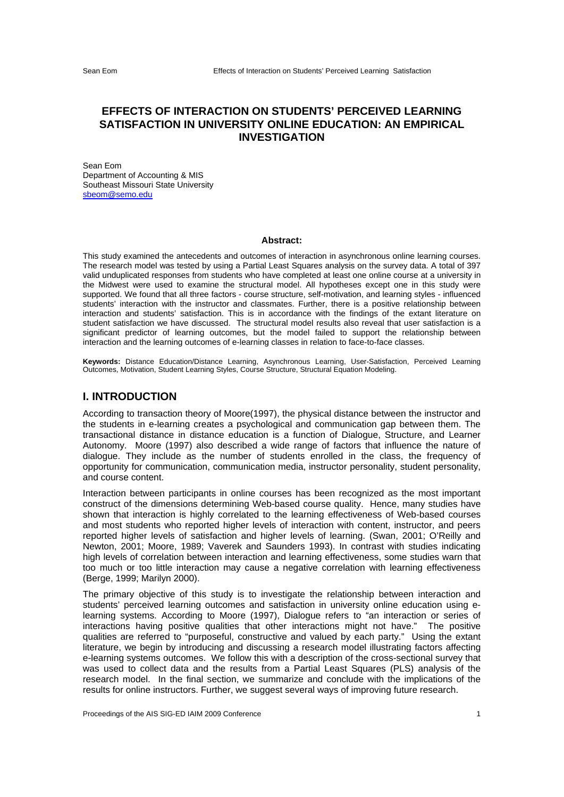## **EFFECTS OF INTERACTION ON STUDENTS' PERCEIVED LEARNING SATISFACTION IN UNIVERSITY ONLINE EDUCATION: AN EMPIRICAL INVESTIGATION**

Sean Eom Department of Accounting & MIS Southeast Missouri State University sbeom@semo.edu

#### **Abstract:**

This study examined the antecedents and outcomes of interaction in asynchronous online learning courses. The research model was tested by using a Partial Least Squares analysis on the survey data. A total of 397 valid unduplicated responses from students who have completed at least one online course at a university in the Midwest were used to examine the structural model. All hypotheses except one in this study were supported. We found that all three factors - course structure, self-motivation, and learning styles - influenced students' interaction with the instructor and classmates. Further, there is a positive relationship between interaction and students' satisfaction. This is in accordance with the findings of the extant literature on student satisfaction we have discussed. The structural model results also reveal that user satisfaction is a significant predictor of learning outcomes, but the model failed to support the relationship between interaction and the learning outcomes of e-learning classes in relation to face-to-face classes.

**Keywords:** Distance Education/Distance Learning, Asynchronous Learning, User-Satisfaction, Perceived Learning Outcomes, Motivation, Student Learning Styles, Course Structure, Structural Equation Modeling.

#### **I. INTRODUCTION**

According to transaction theory of Moore(1997), the physical distance between the instructor and the students in e-learning creates a psychological and communication gap between them. The transactional distance in distance education is a function of Dialogue, Structure, and Learner Autonomy. Moore (1997) also described a wide range of factors that influence the nature of dialogue. They include as the number of students enrolled in the class, the frequency of opportunity for communication, communication media, instructor personality, student personality, and course content.

Interaction between participants in online courses has been recognized as the most important construct of the dimensions determining Web-based course quality. Hence, many studies have shown that interaction is highly correlated to the learning effectiveness of Web-based courses and most students who reported higher levels of interaction with content, instructor, and peers reported higher levels of satisfaction and higher levels of learning. (Swan, 2001; O'Reilly and Newton, 2001; Moore, 1989; Vaverek and Saunders 1993). In contrast with studies indicating high levels of correlation between interaction and learning effectiveness, some studies warn that too much or too little interaction may cause a negative correlation with learning effectiveness (Berge, 1999; Marilyn 2000).

The primary objective of this study is to investigate the relationship between interaction and students' perceived learning outcomes and satisfaction in university online education using elearning systems. According to Moore (1997), Dialogue refers to "an interaction or series of interactions having positive qualities that other interactions might not have." The positive qualities are referred to "purposeful, constructive and valued by each party." Using the extant literature, we begin by introducing and discussing a research model illustrating factors affecting e-learning systems outcomes. We follow this with a description of the cross-sectional survey that was used to collect data and the results from a Partial Least Squares (PLS) analysis of the research model. In the final section, we summarize and conclude with the implications of the results for online instructors. Further, we suggest several ways of improving future research.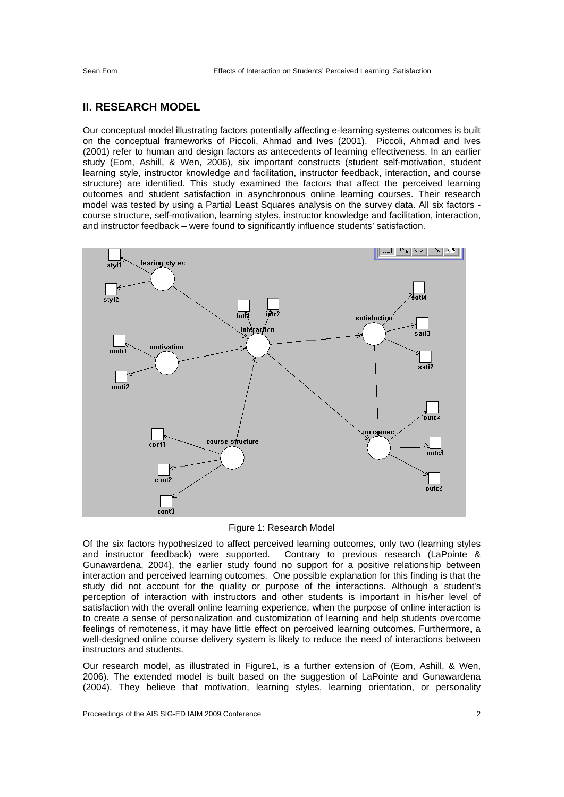#### **II. RESEARCH MODEL**

Our conceptual model illustrating factors potentially affecting e-learning systems outcomes is built on the conceptual frameworks of Piccoli, Ahmad and Ives (2001). Piccoli, Ahmad and Ives (2001) refer to human and design factors as antecedents of learning effectiveness. In an earlier study (Eom, Ashill, & Wen, 2006), six important constructs (student self-motivation, student learning style, instructor knowledge and facilitation, instructor feedback, interaction, and course structure) are identified. This study examined the factors that affect the perceived learning outcomes and student satisfaction in asynchronous online learning courses. Their research model was tested by using a Partial Least Squares analysis on the survey data. All six factors course structure, self-motivation, learning styles, instructor knowledge and facilitation, interaction, and instructor feedback – were found to significantly influence students' satisfaction.



Figure 1: Research Model

Of the six factors hypothesized to affect perceived learning outcomes, only two (learning styles and instructor feedback) were supported. Contrary to previous research (LaPointe & Gunawardena, 2004), the earlier study found no support for a positive relationship between interaction and perceived learning outcomes. One possible explanation for this finding is that the study did not account for the quality or purpose of the interactions. Although a student's perception of interaction with instructors and other students is important in his/her level of satisfaction with the overall online learning experience, when the purpose of online interaction is to create a sense of personalization and customization of learning and help students overcome feelings of remoteness, it may have little effect on perceived learning outcomes. Furthermore, a well-designed online course delivery system is likely to reduce the need of interactions between instructors and students.

Our research model, as illustrated in Figure1, is a further extension of (Eom, Ashill, & Wen, 2006). The extended model is built based on the suggestion of LaPointe and Gunawardena (2004). They believe that motivation, learning styles, learning orientation, or personality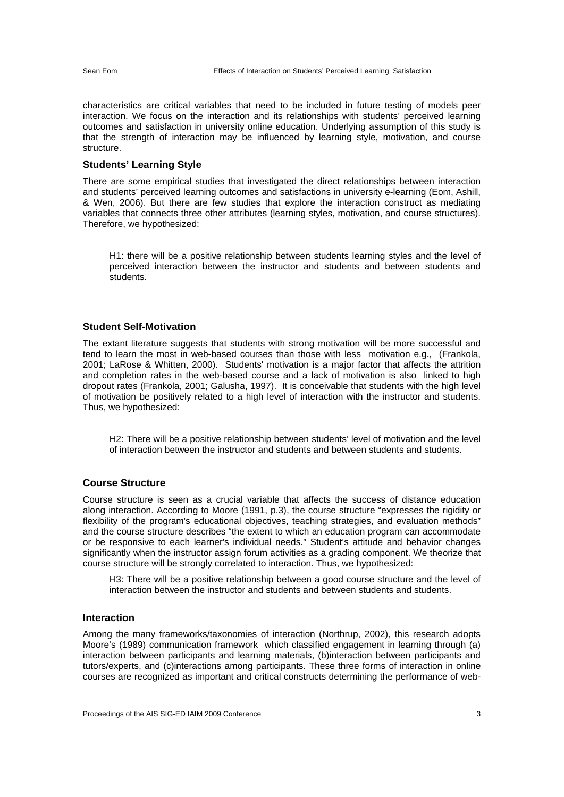characteristics are critical variables that need to be included in future testing of models peer interaction. We focus on the interaction and its relationships with students' perceived learning outcomes and satisfaction in university online education. Underlying assumption of this study is that the strength of interaction may be influenced by learning style, motivation, and course structure.

#### **Students' Learning Style**

There are some empirical studies that investigated the direct relationships between interaction and students' perceived learning outcomes and satisfactions in university e-learning (Eom, Ashill, & Wen, 2006). But there are few studies that explore the interaction construct as mediating variables that connects three other attributes (learning styles, motivation, and course structures). Therefore, we hypothesized:

H1: there will be a positive relationship between students learning styles and the level of perceived interaction between the instructor and students and between students and students.

#### **Student Self-Motivation**

The extant literature suggests that students with strong motivation will be more successful and tend to learn the most in web-based courses than those with less motivation e.g., (Frankola, 2001; LaRose & Whitten, 2000). Students' motivation is a major factor that affects the attrition and completion rates in the web-based course and a lack of motivation is also linked to high dropout rates (Frankola, 2001; Galusha, 1997). It is conceivable that students with the high level of motivation be positively related to a high level of interaction with the instructor and students. Thus, we hypothesized:

H2: There will be a positive relationship between students' level of motivation and the level of interaction between the instructor and students and between students and students.

#### **Course Structure**

Course structure is seen as a crucial variable that affects the success of distance education along interaction. According to Moore (1991, p.3), the course structure "expresses the rigidity or flexibility of the program's educational objectives, teaching strategies, and evaluation methods" and the course structure describes "the extent to which an education program can accommodate or be responsive to each learner's individual needs." Student's attitude and behavior changes significantly when the instructor assign forum activities as a grading component. We theorize that course structure will be strongly correlated to interaction. Thus, we hypothesized:

H3: There will be a positive relationship between a good course structure and the level of interaction between the instructor and students and between students and students.

#### **Interaction**

Among the many frameworks/taxonomies of interaction (Northrup, 2002), this research adopts Moore's (1989) communication framework which classified engagement in learning through (a) interaction between participants and learning materials, (b)interaction between participants and tutors/experts, and (c)interactions among participants. These three forms of interaction in online courses are recognized as important and critical constructs determining the performance of web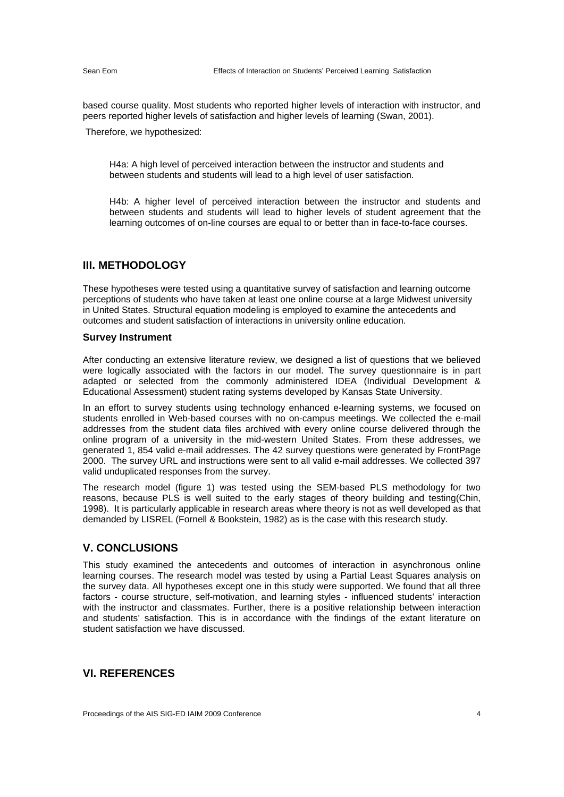based course quality. Most students who reported higher levels of interaction with instructor, and peers reported higher levels of satisfaction and higher levels of learning (Swan, 2001).

Therefore, we hypothesized:

H4a: A high level of perceived interaction between the instructor and students and between students and students will lead to a high level of user satisfaction.

H4b: A higher level of perceived interaction between the instructor and students and between students and students will lead to higher levels of student agreement that the learning outcomes of on-line courses are equal to or better than in face-to-face courses.

#### **III. METHODOLOGY**

These hypotheses were tested using a quantitative survey of satisfaction and learning outcome perceptions of students who have taken at least one online course at a large Midwest university in United States. Structural equation modeling is employed to examine the antecedents and outcomes and student satisfaction of interactions in university online education.

#### **Survey Instrument**

After conducting an extensive literature review, we designed a list of questions that we believed were logically associated with the factors in our model. The survey questionnaire is in part adapted or selected from the commonly administered IDEA (Individual Development & Educational Assessment) student rating systems developed by Kansas State University.

In an effort to survey students using technology enhanced e-learning systems, we focused on students enrolled in Web-based courses with no on-campus meetings. We collected the e-mail addresses from the student data files archived with every online course delivered through the online program of a university in the mid-western United States. From these addresses, we generated 1, 854 valid e-mail addresses. The 42 survey questions were generated by FrontPage 2000. The survey URL and instructions were sent to all valid e-mail addresses. We collected 397 valid unduplicated responses from the survey.

The research model (figure 1) was tested using the SEM-based PLS methodology for two reasons, because PLS is well suited to the early stages of theory building and testing(Chin, 1998). It is particularly applicable in research areas where theory is not as well developed as that demanded by LISREL (Fornell & Bookstein, 1982) as is the case with this research study.

#### **V. CONCLUSIONS**

This study examined the antecedents and outcomes of interaction in asynchronous online learning courses. The research model was tested by using a Partial Least Squares analysis on the survey data. All hypotheses except one in this study were supported. We found that all three factors - course structure, self-motivation, and learning styles - influenced students' interaction with the instructor and classmates. Further, there is a positive relationship between interaction and students' satisfaction. This is in accordance with the findings of the extant literature on student satisfaction we have discussed.

### **VI. REFERENCES**